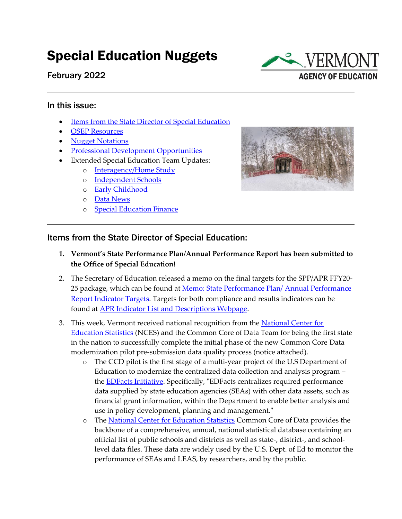# Special Education Nuggets

February 2022



#### In this issue:

- [Items from the State Director of Special Education](#page-0-0)
- [OSEP Resources](#page-1-0)
- [Nugget Notations](#page-2-0)
- [Professional Development Opportunities](#page-3-0)
- Extended Special Education Team Updates:
	- o [Interagency/Home Study](#page-4-0)
	- o [Independent Schools](#page-6-0)
	- o [Early Childhood](#page-6-1)
	- o [Data News](#page-6-2)
	- o [Special Education Finance](#page-7-0)



### <span id="page-0-0"></span>Items from the State Director of Special Education:

- **1. Vermont's State Performance Plan/Annual Performance Report has been submitted to the Office of Special Education!**
- 2. The Secretary of Education released a memo on the final targets for the SPP/APR FFY20- 25 package, which can be found at Memo: State Performance Plan/ Annual Performance [Report Indicator Targets.](https://education.vermont.gov/documents/memo-french-spp-arpr-indicator-targets) Targets for both compliance and results indicators can be found at [APR Indicator List and Descriptions Webpage.](https://education.vermont.gov/student-support/vermont-special-education/compliance-and-monitoring/apr-indicator-list-and-descriptions)
- 3. This week, Vermont received national recognition from the [National Center for](https://nces.ed.gov/)  [Education Statistics](https://nces.ed.gov/) (NCES) and the Common Core of Data Team for being the first state in the nation to successfully complete the initial phase of the new Common Core Data modernization pilot pre-submission data quality process (notice attached).
	- o The CCD pilot is the first stage of a multi-year project of the U.S Department of Education to modernize the centralized data collection and analysis program – the [EDFacts Initiative.](https://www2.ed.gov/about/inits/ed/edfacts/index.html) Specifically, "EDFacts centralizes required performance data supplied by state education agencies (SEAs) with other data assets, such as financial grant information, within the Department to enable better analysis and use in policy development, planning and management."
	- o The [National Center for Education Statistics](https://nces.ed.gov/) Common Core of Data provides the backbone of a comprehensive, annual, national statistical database containing an official list of public schools and districts as well as state-, district-, and schoollevel data files. These data are widely used by the U.S. Dept. of Ed to monitor the performance of SEAs and LEAS, by researchers, and by the public.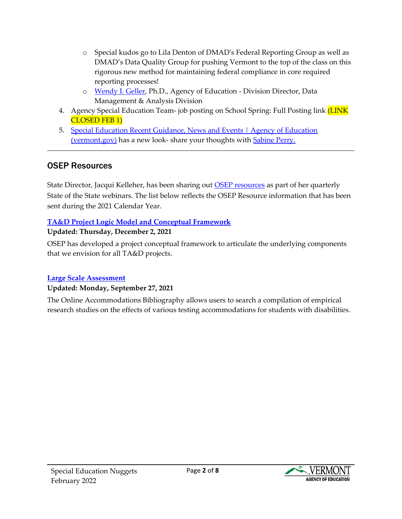- o Special kudos go to Lila Denton of DMAD's Federal Reporting Group as well as DMAD's Data Quality Group for pushing Vermont to the top of the class on this rigorous new method for maintaining federal compliance in core required reporting processes!
- o [Wendy](mailto:Wendy.Geller@vermont.gov) I. Geller, Ph.D., Agency of Education Division Director, Data Management & Analysis Division
- 4. Agency Special Education Team- job posting on School Spring: Full Posting link (LINK CLOSED FEB 1)
- 5. Special Education Recent Guidance, News and Events | Agency of Education [\(vermont.gov\)](https://education.vermont.gov/student-support/vermont-special-education/recent-guidance-news-and-events) has a new look- share your thoughts with [Sabine Perry.](mailto:Sabine.perry@vermont.gov)

# <span id="page-1-0"></span>OSEP Resources

State Director, Jacqui Kelleher, has been sharing out **OSEP** resources as part of her quarterly State of the State webinars. The list below reflects the OSEP Resource information that has been sent during the 2021 Calendar Year.

### **[TA&D Project Logic Model and Conceptual Framework](https://osepideasthatwork.org/find-a-resource/tad-project-logic-model-and-conceptual-framework)**

### **Updated: Thursday, December 2, 2021**

OSEP has developed a project conceptual framework to articulate the underlying components that we envision for all TA&D projects.

### **[Large Scale Assessment](https://osepideasthatwork.org/find-a-resource/large-scale-assessment)**

### **Updated: Monday, September 27, 2021**

The Online Accommodations Bibliography allows users to search a compilation of empirical research studies on the effects of various testing accommodations for students with disabilities.

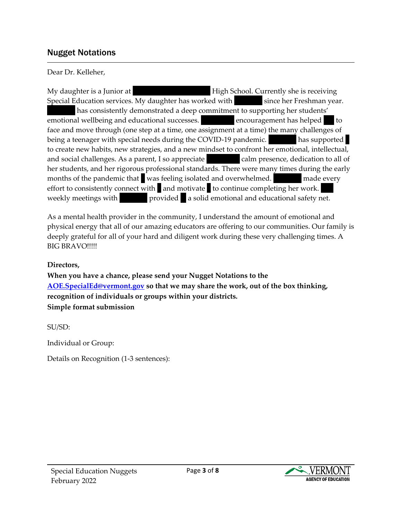### Nugget Notations

<span id="page-2-0"></span>Dear Dr. Kelleher,

My daughter is a Junior at The Mount Mansfield High School. Currently she is receiving Special Education services. My daughter has worked with since her Freshman year. has consistently demonstrated a deep commitment to supporting her students' emotional wellbeing and educational successes. The encouragement has helped her to face and move through (one step at a time, one assignment at a time) the many challenges of being a teenager with special needs during the COVID-19 pandemic. has supported to create new habits, new strategies, and a new mindset to confront her emotional, intellectual, and social challenges. As a parent, I so appreciate calm presence, dedication to all of her students, and her rigorous professional standards. There were many times during the early months of the pandemic that vas feeling isolated and overwhelmed. Must made every effort to consistently connect with  $\blacksquare$  and motivate  $\blacksquare$  to continue completing her work. weekly meetings with **Music provided** a solid emotional and educational safety net.

As a mental health provider in the community, I understand the amount of emotional and physical energy that all of our amazing educators are offering to our communities. Our family is deeply grateful for all of your hard and diligent work during these very challenging times. A BIG BRAVO!!!!!

**Directors,**

**When you have a chance, please send your Nugget Notations to the [AOE.SpecialEd@vermont.gov](mailto:AOE.SpecialEd@vermont.gov) so that we may share the work, out of the box thinking, recognition of individuals or groups within your districts. Simple format submission**

SU/SD:

Individual or Group:

Details on Recognition (1-3 sentences):

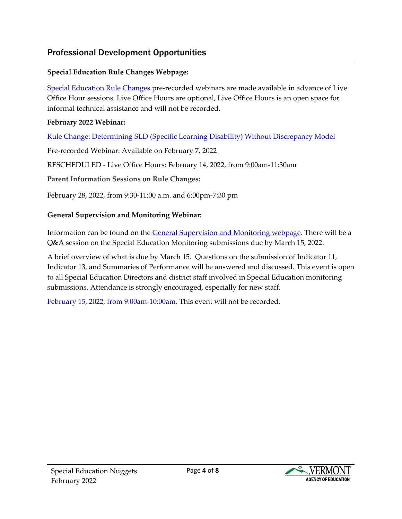# Professional Development Opportunities

### <span id="page-3-0"></span>**Special Education Rule Changes Webpage:**

[Special Education Rule Changes](https://education.vermont.gov/student-support/vermont-special-education/rule-changes) pre-recorded webinars are made available in advance of Live Office Hour sessions. Live Office Hours are optional, Live Office Hours is an open space for informal technical assistance and will not be recorded.

### **February 2022 Webinar:**

[Rule Change: Determining SLD \(Specific Learning Disability\) Without Discrepancy Model](https://education.vermont.gov/student-support/vermont-special-education/rule-changes#feb-2022)

Pre-recorded Webinar: Available on February 7, 2022

RESCHEDULED - Live Office Hours: February 14, 2022, from 9:00am-11:30am

**Parent Information Sessions on Rule Changes:**

February 28, 2022, from 9:30-11:00 a.m. and 6:00pm-7:30 pm

### **General Supervision and Monitoring Webinar:**

Information can be found on the [General Supervision and Monitoring webpage.](https://education.vermont.gov/student-support/vermont-special-education/general-supervision-and-monitoring-system) There will be a Q&A session on the Special Education Monitoring submissions due by March 15, 2022.

A brief overview of what is due by March 15. Questions on the submission of Indicator 11, Indicator 13, and Summaries of Performance will be answered and discussed. This event is open to all Special Education Directors and district staff involved in Special Education monitoring submissions. Attendance is strongly encouraged, especially for new staff.

[February 15, 2022, from 9:00am-10:00am.](https://education.vermont.gov/calendar/question-and-answer-session-on-the-sped-monitoring-submissions-due-by-031522-virtual) This event will not be recorded.

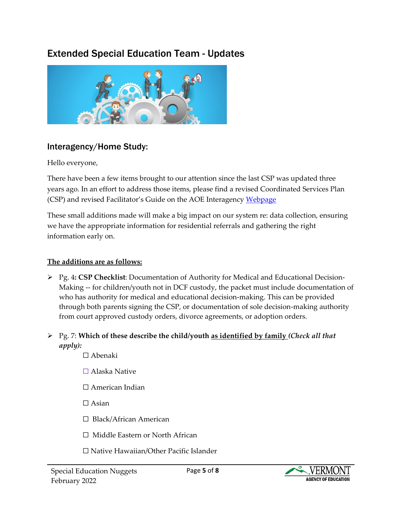# Extended Special Education Team - Updates



# <span id="page-4-0"></span>Interagency/Home Study:

Hello everyone,

There have been a few items brought to our attention since the last CSP was updated three years ago. In an effort to address those items, please find a revised Coordinated Services Plan (CSP) and revised Facilitator's Guide on the AOE Interagency [Webpage](https://education.vermont.gov/vermont-schools/school-operations/interagency-coordination)

These small additions made will make a big impact on our system re: data collection, ensuring we have the appropriate information for residential referrals and gathering the right information early on.

### **The additions are as follows:**

- ➢ Pg. 4**: CSP Checklist**: Documentation of Authority for Medical and Educational Decision-Making -- for children/youth not in DCF custody, the packet must include documentation of who has authority for medical and educational decision-making. This can be provided through both parents signing the CSP, or documentation of sole decision-making authority from court approved custody orders, divorce agreements, or adoption orders.
- ➢ Pg. 7: **Which of these describe the child/youth as identified by family** *(Check all that apply):*
	- ☐ Abenaki
	- ☐ Alaska Native
	- □ American Indian
	- □ Asian
	- □ Black/African American
	- ☐ Middle Eastern or North African
	- ☐ Native Hawaiian/Other Pacific Islander

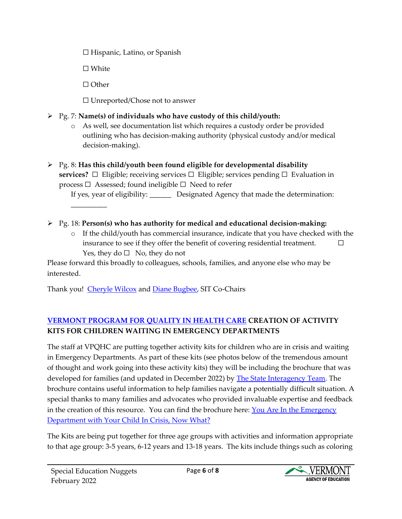☐ Hispanic, Latino, or Spanish

☐ White

☐ Other

☐ Unreported/Chose not to answer

- ➢ Pg. 7: **Name(s) of individuals who have custody of this child/youth:**
	- o As well, see documentation list which requires a custody order be provided outlining who has decision-making authority (physical custody and/or medical decision-making).
- ➢ Pg. 8: **Has this child/youth been found eligible for developmental disability services?**  $\Box$  Eligible; receiving services  $\Box$  Eligible; services pending  $\Box$  Evaluation in process  $\Box$  Assessed; found ineligible  $\Box$  Need to refer

If yes, year of eligibility: \_\_\_\_\_\_ Designated Agency that made the determination: \_\_\_\_\_\_\_\_\_\_

- ➢ Pg. 18: **Person(s) who has authority for medical and educational decision-making:** 
	- o If the child/youth has commercial insurance, indicate that you have checked with the insurance to see if they offer the benefit of covering residential treatment.  $\Box$ Yes, they do  $\Box$  No, they do not

Please forward this broadly to colleagues, schools, families, and anyone else who may be interested.

Thank you! [Cheryle Wilcox](mailto:Cheryle.Wilcox@vermont.gov) and [Diane Bugbee,](mailto:Diane.Bugbee@vermont.gov) SIT Co-Chairs

# **[VERMONT PROGRAM FOR QUALITY IN HEALTH CARE](https://www.vpqhc.org/) CREATION OF ACTIVITY KITS FOR CHILDREN WAITING IN EMERGENCY DEPARTMENTS**

The staff at VPQHC are putting together activity kits for children who are in crisis and waiting in Emergency Departments. As part of these kits (see photos below of the tremendous amount of thought and work going into these activity kits) they will be including the brochure that was developed for families (and updated in December 2022) by [The State Interagency Team.](https://ifs.vermont.gov/content/guide-act-264-families-and-caregivers) The brochure contains useful information to help families navigate a potentially difficult situation. A special thanks to many families and advocates who provided invaluable expertise and feedback in the creation of this resource. You can find the brochure here:  $You Are In the Emergency$ </u> [Department with Your Child In Crisis, Now What?](https://mentalhealth.vermont.gov/sites/mhnew/files/documents/Services/ES/Emergency_Brochure_REV5.pdf)

The Kits are being put together for three age groups with activities and information appropriate to that age group: 3-5 years, 6-12 years and 13-18 years. The kits include things such as coloring

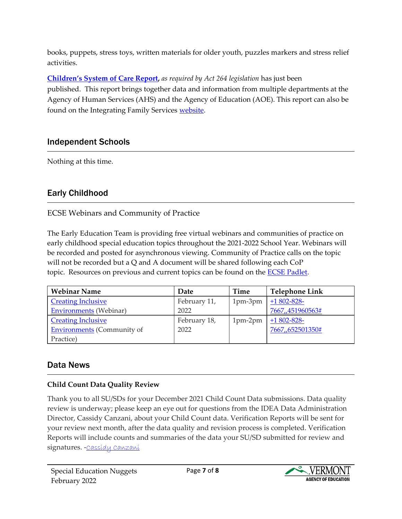books, puppets, stress toys, written materials for older youth, puzzles markers and stress relief activities.

**[Children's System of Care Report](https://mentalhealth.vermont.gov/sites/dmh/files/documents/CAFU/Act264/DMH-Act_264_Advisory_Creation_1988.pdf),** *as required by Act 264 legislation* has just been published. This report brings together data and information from multiple departments at the Agency of Human Services (AHS) and the Agency of Education (AOE). This report can also be found on the Integrating Family Services [website.](https://ifs.vermont.gov/docs/sit)

# Independent Schools

<span id="page-6-0"></span>Nothing at this time.

# Early Childhood

### <span id="page-6-1"></span>ECSE Webinars and Community of Practice

The Early Education Team is providing free virtual webinars and communities of practice on early childhood special education topics throughout the 2021-2022 School Year. Webinars will be recorded and posted for asynchronous viewing. Community of Practice calls on the topic will not be recorded but a  $Q$  and A document will be shared following each  $\text{CoP}$ topic. Resources on previous and current topics can be found on the **ECSE Padlet**.

| <b>Webinar Name</b>               | Date         | Time      | <b>Telephone Link</b> |
|-----------------------------------|--------------|-----------|-----------------------|
| <b>Creating Inclusive</b>         | February 11, | $1pm-3pm$ | $+1802 - 828$         |
| <b>Environments</b> (Webinar)     | 2022         |           | 7667,451960563#       |
| <b>Creating Inclusive</b>         | February 18, | $1pm-2pm$ | $+1802 - 828$         |
| <b>Environments</b> (Community of | 2022         |           | 7667,,652501350#      |
| Practice)                         |              |           |                       |

# Data News

### <span id="page-6-2"></span>**Child Count Data Quality Review**

Thank you to all SU/SDs for your December 2021 Child Count Data submissions. Data quality review is underway; please keep an eye out for questions from the IDEA Data Administration Director, Cassidy Canzani, about your Child Count data. Verification Reports will be sent for your review next month, after the data quality and revision process is completed. Verification Reports will include counts and summaries of the data your SU/SD submitted for review and signatures. - Cassídu Canzaní